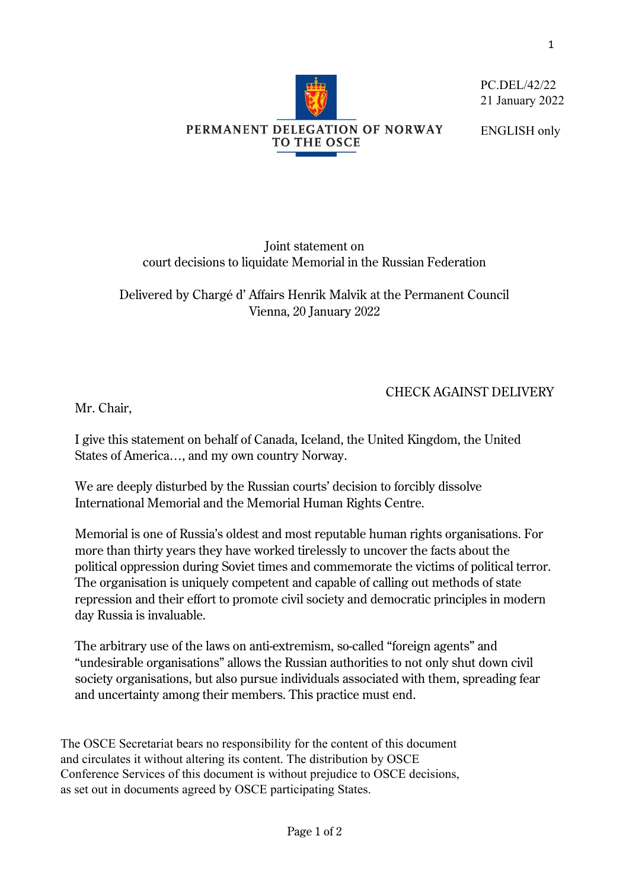

PC.DEL/42/22 21 January 2022

ENGLISH only

Joint statement on court decisions to liquidate Memorial in the Russian Federation

Delivered by Chargé d' Affairs Henrik Malvik at the Permanent Council Vienna, 20 January 2022

## CHECK AGAINST DELIVERY

Mr. Chair,

I give this statement on behalf of Canada, Iceland, the United Kingdom, the United States of America…, and my own country Norway.

We are deeply disturbed by the Russian courts' decision to forcibly dissolve International Memorial and the Memorial Human Rights Centre.

Memorial is one of Russia's oldest and most reputable human rights organisations. For more than thirty years they have worked tirelessly to uncover the facts about the political oppression during Soviet times and commemorate the victims of political terror. The organisation is uniquely competent and capable of calling out methods of state repression and their effort to promote civil society and democratic principles in modern day Russia is invaluable.

The arbitrary use of the laws on anti-extremism, so-called "foreign agents" and "undesirable organisations" allows the Russian authorities to not only shut down civil society organisations, but also pursue individuals associated with them, spreading fear and uncertainty among their members. This practice must end.

The OSCE Secretariat bears no responsibility for the content of this document and circulates it without altering its content. The distribution by OSCE Conference Services of this document is without prejudice to OSCE decisions, as set out in documents agreed by OSCE participating States.